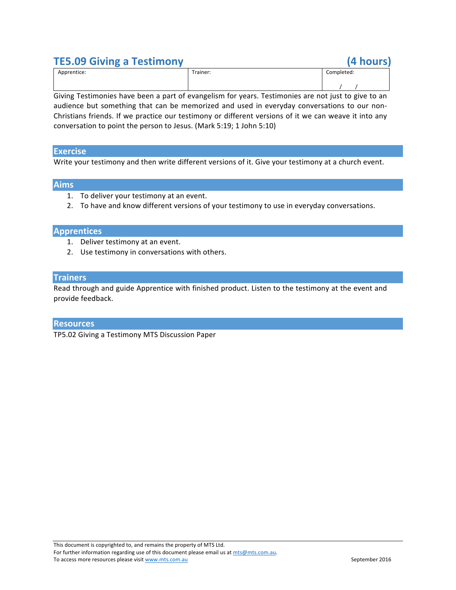## **TE5.09 Giving a Testimony (4 hours)**

| Apprentice: | Trainer: | Completed: |
|-------------|----------|------------|
|             |          |            |

Giving Testimonies have been a part of evangelism for years. Testimonies are not just to give to an audience but something that can be memorized and used in everyday conversations to our non-Christians friends. If we practice our testimony or different versions of it we can weave it into any conversation to point the person to Jesus. (Mark 5:19; 1 John 5:10)

#### **Exercise**

Write your testimony and then write different versions of it. Give your testimony at a church event.

### **Aims**

- 1. To deliver your testimony at an event.
- 2. To have and know different versions of your testimony to use in everyday conversations.

#### **Apprentices**

- 1. Deliver testimony at an event.
- 2. Use testimony in conversations with others.

#### **Trainers**

Read through and guide Apprentice with finished product. Listen to the testimony at the event and provide feedback.

#### **Resources**

TP5.02 Giving a Testimony MTS Discussion Paper